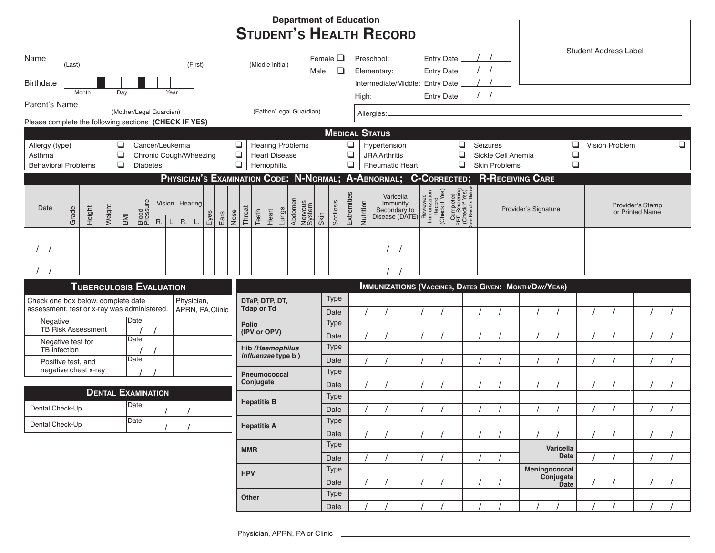|                                                                                                                        |                                                                                                                                                                                                                                          |  |  |      |                                                                   |                           |                                                                     |            |                          |              |           |                                               |                                                                                                                                                                                                                                                                                                                                                                                                                                                           |             |             |                                                                                                           | <b>Department of Education</b> |                                                                 |                                                                          |  |                               |                       |                                |           |                                     |                              |  |                                                              |          |  |  |  |  |  |  |
|------------------------------------------------------------------------------------------------------------------------|------------------------------------------------------------------------------------------------------------------------------------------------------------------------------------------------------------------------------------------|--|--|------|-------------------------------------------------------------------|---------------------------|---------------------------------------------------------------------|------------|--------------------------|--------------|-----------|-----------------------------------------------|-----------------------------------------------------------------------------------------------------------------------------------------------------------------------------------------------------------------------------------------------------------------------------------------------------------------------------------------------------------------------------------------------------------------------------------------------------------|-------------|-------------|-----------------------------------------------------------------------------------------------------------|--------------------------------|-----------------------------------------------------------------|--------------------------------------------------------------------------|--|-------------------------------|-----------------------|--------------------------------|-----------|-------------------------------------|------------------------------|--|--------------------------------------------------------------|----------|--|--|--|--|--|--|
|                                                                                                                        |                                                                                                                                                                                                                                          |  |  |      |                                                                   |                           |                                                                     |            |                          |              |           |                                               |                                                                                                                                                                                                                                                                                                                                                                                                                                                           |             |             |                                                                                                           |                                |                                                                 |                                                                          |  |                               |                       | <b>STUDENT'S HEALTH RECORD</b> |           |                                     |                              |  |                                                              |          |  |  |  |  |  |  |
| Name<br>(First)<br>(Last)<br><b>Birthdate</b>                                                                          |                                                                                                                                                                                                                                          |  |  |      |                                                                   |                           |                                                                     |            | (Middle Initial)<br>Male |              |           |                                               |                                                                                                                                                                                                                                                                                                                                                                                                                                                           |             |             | Female $\square$<br>□                                                                                     |                                | Preschool:<br>Elementary:<br>Intermediate/Middle: Entry Date _/ |                                                                          |  |                               |                       |                                |           |                                     | <b>Student Address Label</b> |  |                                                              |          |  |  |  |  |  |  |
| Month<br>Day<br>Year                                                                                                   |                                                                                                                                                                                                                                          |  |  |      |                                                                   |                           |                                                                     |            |                          |              | High:     |                                               |                                                                                                                                                                                                                                                                                                                                                                                                                                                           |             |             |                                                                                                           |                                |                                                                 |                                                                          |  |                               |                       |                                |           |                                     |                              |  |                                                              |          |  |  |  |  |  |  |
| Parent's Name<br>(Mother/Legal Guardian)<br>(Father/Legal Guardian)                                                    |                                                                                                                                                                                                                                          |  |  |      |                                                                   |                           |                                                                     |            | Allergies: _             |              |           |                                               |                                                                                                                                                                                                                                                                                                                                                                                                                                                           |             |             |                                                                                                           |                                |                                                                 |                                                                          |  |                               |                       |                                |           |                                     |                              |  |                                                              |          |  |  |  |  |  |  |
| Please complete the following sections (CHECK IF YES)                                                                  |                                                                                                                                                                                                                                          |  |  |      |                                                                   |                           |                                                                     |            |                          |              |           |                                               |                                                                                                                                                                                                                                                                                                                                                                                                                                                           |             |             |                                                                                                           |                                |                                                                 |                                                                          |  |                               |                       |                                |           |                                     |                              |  |                                                              |          |  |  |  |  |  |  |
|                                                                                                                        |                                                                                                                                                                                                                                          |  |  |      |                                                                   |                           |                                                                     |            |                          |              |           |                                               |                                                                                                                                                                                                                                                                                                                                                                                                                                                           |             |             |                                                                                                           |                                |                                                                 |                                                                          |  |                               | <b>MEDICAL STATUS</b> |                                |           |                                     |                              |  |                                                              |          |  |  |  |  |  |  |
| ❏<br>Cancer/Leukemia<br>Allergy (type)<br>$\Box$<br>Chronic Cough/Wheezing<br>Asthma                                   |                                                                                                                                                                                                                                          |  |  |      |                                                                   |                           | $\Box$<br><b>Hearing Problems</b><br>$\Box$<br><b>Heart Disease</b> |            |                          |              |           |                                               |                                                                                                                                                                                                                                                                                                                                                                                                                                                           |             |             | $\Box$<br>❏<br>Hypertension<br>Seizures<br>$\Box$<br>$\Box$<br>Sickle Cell Anemia<br><b>JRA Arthritis</b> |                                |                                                                 |                                                                          |  | ❏<br>Vision Problem<br>$\Box$ |                       |                                |           |                                     | ❏                            |  |                                                              |          |  |  |  |  |  |  |
|                                                                                                                        | $\Box$<br>❏<br>$\Box$<br>❏<br>❏<br>Hemophilia<br>Skin Problems<br><b>Behavioral Problems</b><br><b>Diabetes</b><br><b>Rheumatic Heart</b><br>PHYSICIAN'S EXAMINATION CODE: N-NORMAL; A-ABNORMAL; C-CORRECTED;<br><b>R-RECEIVING CARE</b> |  |  |      |                                                                   |                           |                                                                     |            |                          |              |           |                                               |                                                                                                                                                                                                                                                                                                                                                                                                                                                           |             |             |                                                                                                           |                                |                                                                 |                                                                          |  |                               |                       |                                |           |                                     |                              |  |                                                              |          |  |  |  |  |  |  |
| Blood<br>Pressure<br>Vision Hearing<br>Weight<br>Date<br>Height<br>Grade<br>Eyes<br>Ears<br>BMI<br>R.<br>$R.$ L.<br>L. |                                                                                                                                                                                                                                          |  |  | Nose | Abdomen<br>Nervous<br>System<br>Throat<br>Lungs<br>Teeth<br>Heart |                           |                                                                     |            |                          | Skin         | Scollosis | Extremities                                   | $\begin{tabular}{ c c } \hline \textbf{Variable}\\ \textbf{Immutity}\\ \textbf{Secondary to}\\ \hline \textbf{Disease (DATE)}\\ \hline \end{tabular} \begin{tabular}{ c c } \hline\hline g & 5 & 0\\ \hline g & 5 & 0\\ \hline g & 8 & 0\\ \hline g & 8 & 0\\ \hline g & 8 & 0\\ \hline g & 8 & 0\\ \hline g & 8 & 0\\ \hline g & 8 & 0\\ \hline g & 8 & 0\\ \hline g & 1 & 0\\ \hline g & 1 & 0\\ \hline g & 1 & 0\\ \hline g & 1 & 0\\ \h$<br>Nutrition |             |             |                                                                                                           |                                |                                                                 | woleg sunsey<br>Gueck it Aes)<br>Check it Aes)<br>Coupleted<br>Completed |  |                               | Provider's Signature  |                                |           | Provider's Stamp<br>or Printed Name |                              |  |                                                              |          |  |  |  |  |  |  |
|                                                                                                                        |                                                                                                                                                                                                                                          |  |  |      |                                                                   |                           |                                                                     |            |                          |              |           |                                               |                                                                                                                                                                                                                                                                                                                                                                                                                                                           |             |             |                                                                                                           |                                |                                                                 |                                                                          |  |                               |                       |                                |           |                                     |                              |  |                                                              |          |  |  |  |  |  |  |
|                                                                                                                        |                                                                                                                                                                                                                                          |  |  |      |                                                                   |                           |                                                                     |            |                          |              |           |                                               |                                                                                                                                                                                                                                                                                                                                                                                                                                                           |             |             |                                                                                                           |                                |                                                                 |                                                                          |  |                               |                       |                                |           |                                     |                              |  |                                                              |          |  |  |  |  |  |  |
|                                                                                                                        |                                                                                                                                                                                                                                          |  |  |      |                                                                   |                           |                                                                     |            |                          |              |           |                                               |                                                                                                                                                                                                                                                                                                                                                                                                                                                           |             |             |                                                                                                           |                                |                                                                 |                                                                          |  |                               |                       |                                |           |                                     |                              |  | <b>IMMUNIZATIONS (VACCINES, DATES GIVEN: MONTH/DAY/YEAR)</b> |          |  |  |  |  |  |  |
| <b>TUBERCULOSIS EVALUATION</b><br>Physician,<br>Check one box below, complete date                                     |                                                                                                                                                                                                                                          |  |  |      |                                                                   |                           | DTaP, DTP, DT,                                                      |            |                          |              |           |                                               |                                                                                                                                                                                                                                                                                                                                                                                                                                                           | <b>Type</b> |             |                                                                                                           |                                |                                                                 |                                                                          |  |                               |                       |                                |           |                                     |                              |  |                                                              |          |  |  |  |  |  |  |
| assessment, test or x-ray was administered.<br>APRN, PA, Clinic                                                        |                                                                                                                                                                                                                                          |  |  |      |                                                                   |                           |                                                                     | Tdap or Td |                          |              |           |                                               |                                                                                                                                                                                                                                                                                                                                                                                                                                                           |             | Date        |                                                                                                           |                                |                                                                 |                                                                          |  |                               |                       |                                |           |                                     |                              |  |                                                              |          |  |  |  |  |  |  |
| Negative                                                                                                               |                                                                                                                                                                                                                                          |  |  |      | Date:                                                             |                           |                                                                     |            |                          |              |           | Polio                                         |                                                                                                                                                                                                                                                                                                                                                                                                                                                           |             |             |                                                                                                           |                                | <b>Type</b>                                                     |                                                                          |  |                               |                       |                                |           |                                     |                              |  |                                                              |          |  |  |  |  |  |  |
| <b>TB Risk Assessment</b><br>Negative test for                                                                         |                                                                                                                                                                                                                                          |  |  |      | Date:                                                             |                           |                                                                     |            |                          |              |           | (IPV or OPV)                                  |                                                                                                                                                                                                                                                                                                                                                                                                                                                           |             |             |                                                                                                           |                                | Date                                                            |                                                                          |  |                               |                       |                                |           |                                     |                              |  |                                                              |          |  |  |  |  |  |  |
| TB infection                                                                                                           |                                                                                                                                                                                                                                          |  |  |      |                                                                   |                           |                                                                     |            |                          |              |           | <b>Hib (Haemophilus</b><br>influenzae type b) |                                                                                                                                                                                                                                                                                                                                                                                                                                                           |             |             |                                                                                                           |                                |                                                                 | <b>Type</b>                                                              |  |                               |                       |                                |           |                                     |                              |  |                                                              |          |  |  |  |  |  |  |
| Date:<br>Positive test, and                                                                                            |                                                                                                                                                                                                                                          |  |  |      |                                                                   |                           |                                                                     |            |                          |              |           |                                               |                                                                                                                                                                                                                                                                                                                                                                                                                                                           |             | Date        |                                                                                                           |                                |                                                                 |                                                                          |  |                               |                       |                                |           |                                     |                              |  |                                                              |          |  |  |  |  |  |  |
| negative chest x-ray                                                                                                   |                                                                                                                                                                                                                                          |  |  |      |                                                                   |                           |                                                                     | Conjugate  |                          | Pneumococcal |           |                                               |                                                                                                                                                                                                                                                                                                                                                                                                                                                           |             | <b>Type</b> |                                                                                                           |                                |                                                                 |                                                                          |  |                               |                       |                                |           |                                     |                              |  |                                                              |          |  |  |  |  |  |  |
|                                                                                                                        |                                                                                                                                                                                                                                          |  |  |      | <b>DENTAL EXAMINATION</b>                                         |                           |                                                                     |            |                          |              |           |                                               |                                                                                                                                                                                                                                                                                                                                                                                                                                                           |             |             |                                                                                                           |                                |                                                                 | Date<br><b>Type</b>                                                      |  |                               |                       |                                |           |                                     |                              |  |                                                              |          |  |  |  |  |  |  |
| Date:<br>Dental Check-Up                                                                                               |                                                                                                                                                                                                                                          |  |  |      |                                                                   | <b>Hepatitis B</b>        |                                                                     |            |                          |              |           |                                               | Date                                                                                                                                                                                                                                                                                                                                                                                                                                                      |             |             |                                                                                                           |                                |                                                                 |                                                                          |  |                               |                       |                                |           |                                     |                              |  |                                                              |          |  |  |  |  |  |  |
| Date:<br>Dental Check-Up                                                                                               |                                                                                                                                                                                                                                          |  |  |      |                                                                   | <b>Hepatitis A</b><br>MMR |                                                                     |            |                          |              |           |                                               | Type                                                                                                                                                                                                                                                                                                                                                                                                                                                      |             |             |                                                                                                           |                                |                                                                 |                                                                          |  |                               |                       |                                |           |                                     |                              |  |                                                              |          |  |  |  |  |  |  |
|                                                                                                                        |                                                                                                                                                                                                                                          |  |  |      |                                                                   |                           |                                                                     |            |                          |              |           |                                               |                                                                                                                                                                                                                                                                                                                                                                                                                                                           | Date        |             |                                                                                                           |                                |                                                                 |                                                                          |  |                               |                       |                                |           |                                     |                              |  |                                                              |          |  |  |  |  |  |  |
|                                                                                                                        |                                                                                                                                                                                                                                          |  |  |      |                                                                   |                           |                                                                     |            |                          |              |           |                                               |                                                                                                                                                                                                                                                                                                                                                                                                                                                           | Type        |             |                                                                                                           |                                |                                                                 |                                                                          |  |                               |                       |                                | Varicella |                                     |                              |  |                                                              |          |  |  |  |  |  |  |
|                                                                                                                        |                                                                                                                                                                                                                                          |  |  |      |                                                                   |                           |                                                                     |            |                          |              |           |                                               |                                                                                                                                                                                                                                                                                                                                                                                                                                                           | Date        |             |                                                                                                           |                                |                                                                 |                                                                          |  |                               | $\prime$              |                                |           | Date                                |                              |  |                                                              | $\prime$ |  |  |  |  |  |  |
|                                                                                                                        |                                                                                                                                                                                                                                          |  |  |      |                                                                   |                           |                                                                     | <b>HPV</b> |                          |              |           |                                               |                                                                                                                                                                                                                                                                                                                                                                                                                                                           | Type        |             |                                                                                                           |                                |                                                                 |                                                                          |  |                               |                       |                                |           | Meningococcal<br>Conjugate          |                              |  |                                                              |          |  |  |  |  |  |  |
|                                                                                                                        |                                                                                                                                                                                                                                          |  |  |      |                                                                   |                           |                                                                     |            |                          |              |           |                                               |                                                                                                                                                                                                                                                                                                                                                                                                                                                           | Date        |             |                                                                                                           |                                |                                                                 |                                                                          |  |                               |                       |                                |           | <b>Date</b>                         |                              |  |                                                              |          |  |  |  |  |  |  |
|                                                                                                                        |                                                                                                                                                                                                                                          |  |  |      |                                                                   |                           |                                                                     |            |                          |              |           | Other                                         |                                                                                                                                                                                                                                                                                                                                                                                                                                                           |             |             |                                                                                                           |                                |                                                                 | <b>Type</b>                                                              |  |                               |                       |                                |           |                                     |                              |  |                                                              |          |  |  |  |  |  |  |
|                                                                                                                        |                                                                                                                                                                                                                                          |  |  |      |                                                                   |                           |                                                                     |            |                          |              |           |                                               |                                                                                                                                                                                                                                                                                                                                                                                                                                                           |             |             |                                                                                                           |                                |                                                                 | Date                                                                     |  |                               |                       |                                |           |                                     |                              |  |                                                              |          |  |  |  |  |  |  |